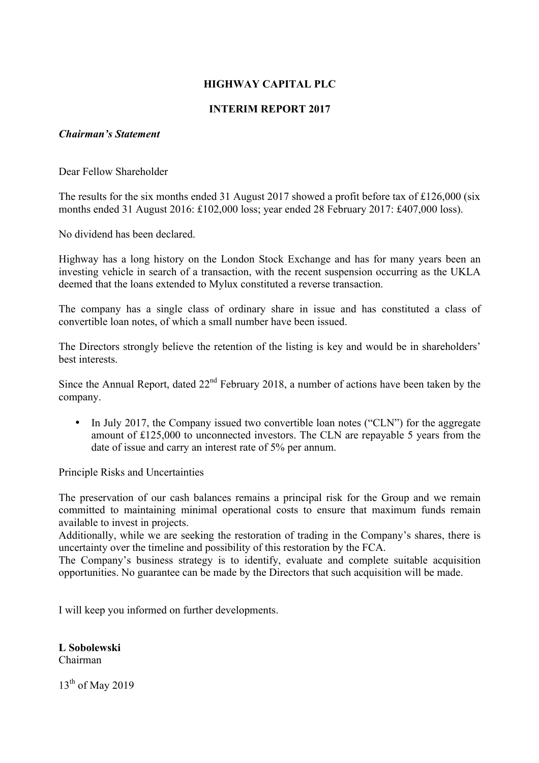# **HIGHWAY CAPITAL PLC**

# **INTERIM REPORT 2017**

## *Chairman's Statement*

Dear Fellow Shareholder

The results for the six months ended 31 August 2017 showed a profit before tax of £126,000 (six months ended 31 August 2016: £102,000 loss; year ended 28 February 2017: £407,000 loss).

No dividend has been declared.

Highway has a long history on the London Stock Exchange and has for many years been an investing vehicle in search of a transaction, with the recent suspension occurring as the UKLA deemed that the loans extended to Mylux constituted a reverse transaction.

The company has a single class of ordinary share in issue and has constituted a class of convertible loan notes, of which a small number have been issued.

The Directors strongly believe the retention of the listing is key and would be in shareholders' best interests.

Since the Annual Report, dated  $22<sup>nd</sup>$  February 2018, a number of actions have been taken by the company.

• In July 2017, the Company issued two convertible loan notes ("CLN") for the aggregate amount of £125,000 to unconnected investors. The CLN are repayable 5 years from the date of issue and carry an interest rate of 5% per annum.

Principle Risks and Uncertainties

The preservation of our cash balances remains a principal risk for the Group and we remain committed to maintaining minimal operational costs to ensure that maximum funds remain available to invest in projects.

Additionally, while we are seeking the restoration of trading in the Company's shares, there is uncertainty over the timeline and possibility of this restoration by the FCA.

The Company's business strategy is to identify, evaluate and complete suitable acquisition opportunities. No guarantee can be made by the Directors that such acquisition will be made.

I will keep you informed on further developments.

**L Sobolewski**

Chairman

13<sup>th</sup> of May 2019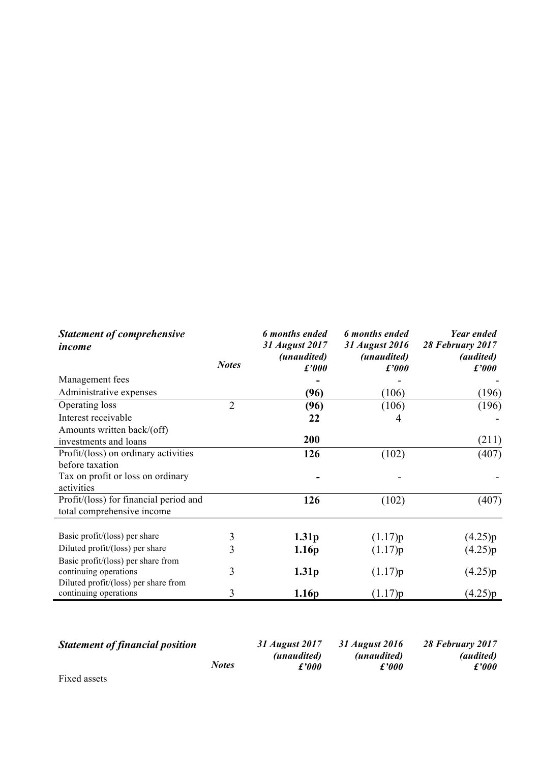| <b>Statement of comprehensive</b><br>income |                | 6 months ended<br>31 August 2017 | 6 months ended<br>31 August 2016 | Year ended<br>28 February 2017    |
|---------------------------------------------|----------------|----------------------------------|----------------------------------|-----------------------------------|
|                                             | <b>Notes</b>   | (unaudited)<br>f'000             | (unaudited)<br>f'000             | <i>(audited)</i><br>$\pounds'000$ |
| Management fees                             |                |                                  |                                  |                                   |
| Administrative expenses                     |                | (96)                             | (106)                            | (196)                             |
| Operating loss                              | $\overline{2}$ | (96)                             | (106)                            | (196)                             |
| Interest receivable                         |                | 22                               | 4                                |                                   |
| Amounts written back/(off)                  |                |                                  |                                  |                                   |
| investments and loans                       |                | 200                              |                                  | (211)                             |
| Profit/(loss) on ordinary activities        |                | 126                              | (102)                            | (407)                             |
| before taxation                             |                |                                  |                                  |                                   |
| Tax on profit or loss on ordinary           |                |                                  |                                  |                                   |
| activities                                  |                |                                  |                                  |                                   |
| Profit/(loss) for financial period and      |                | 126                              | (102)                            | (407)                             |
| total comprehensive income                  |                |                                  |                                  |                                   |
|                                             |                |                                  |                                  |                                   |
| Basic profit/(loss) per share               | 3              | 1.31 <sub>p</sub>                | (1.17)p                          | (4.25)p                           |
| Diluted profit/(loss) per share             | 3              | 1.16 <sub>p</sub>                | (1.17)p                          | (4.25)p                           |
| Basic profit/(loss) per share from          |                |                                  |                                  |                                   |
| continuing operations                       | 3              | 1.31 <sub>p</sub>                | (1.17)p                          | (4.25)p                           |
| Diluted profit/(loss) per share from        |                |                                  |                                  |                                   |
| continuing operations                       | 3              | 1.16p                            | (1.17)p                          | (4.25)p                           |

| <b>Statement of financial position</b> |              | 31 August 2017 | 31 August 2016 | 28 February 2017 |
|----------------------------------------|--------------|----------------|----------------|------------------|
|                                        |              | (unaudited)    | (unaudited)    | <i>(audited)</i> |
|                                        | <b>Notes</b> | £'000          | £'000          | $\pounds'000$    |
| Fixed assets                           |              |                |                |                  |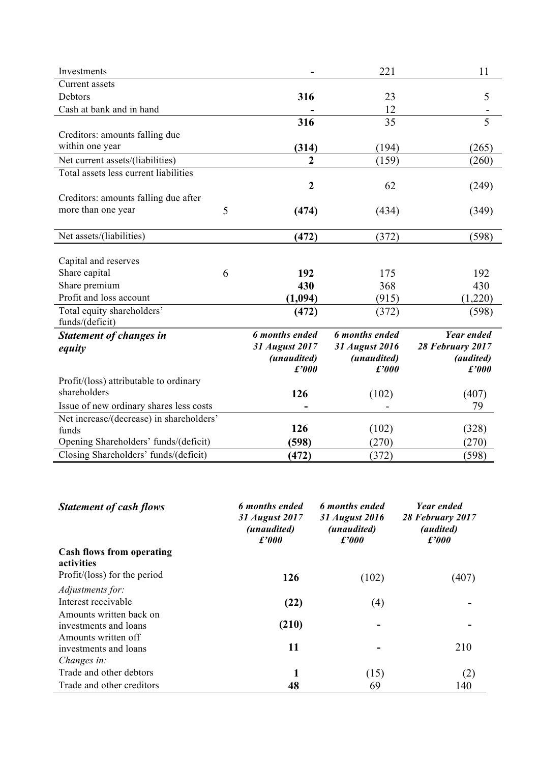| Investments                              |                      | 221                  | 11                        |
|------------------------------------------|----------------------|----------------------|---------------------------|
| Current assets                           |                      |                      |                           |
| Debtors                                  | 316                  | 23                   | 5                         |
| Cash at bank and in hand                 |                      | 12                   |                           |
|                                          | 316                  | 35                   | $\overline{5}$            |
| Creditors: amounts falling due           |                      |                      |                           |
| within one year                          | (314)                | (194)                | (265)                     |
| Net current assets/(liabilities)         | $\boldsymbol{2}$     | (159)                | (260)                     |
| Total assets less current liabilities    |                      |                      |                           |
|                                          | $\overline{2}$       | 62                   | (249)                     |
| Creditors: amounts falling due after     |                      |                      |                           |
| more than one year<br>5                  | (474)                | (434)                | (349)                     |
|                                          |                      |                      |                           |
| Net assets/(liabilities)                 | (472)                | (372)                | (598)                     |
|                                          |                      |                      |                           |
| Capital and reserves                     |                      |                      |                           |
| Share capital<br>6                       | 192                  | 175                  | 192                       |
| Share premium                            | 430                  | 368                  | 430                       |
| Profit and loss account                  | (1,094)              | (915)                | (1,220)                   |
| Total equity shareholders'               | (472)                | (372)                | (598)                     |
| funds/(deficit)                          |                      |                      |                           |
| Statement of changes in                  | 6 months ended       | 6 months ended       | <b>Year ended</b>         |
| equity                                   | 31 August 2017       | 31 August 2016       | 28 February 2017          |
|                                          | (unaudited)<br>f'000 | (unaudited)<br>f'000 | <i>(audited)</i><br>f'000 |
| Profit/(loss) attributable to ordinary   |                      |                      |                           |
| shareholders                             | 126                  | (102)                | (407)                     |
| Issue of new ordinary shares less costs  |                      |                      | 79                        |
| Net increase/(decrease) in shareholders' |                      |                      |                           |
| funds                                    | 126                  | (102)                | (328)                     |
| Opening Shareholders' funds/(deficit)    | (598)                | (270)                | (270)                     |
| Closing Shareholders' funds/(deficit)    | (472)                | (372)                | (598)                     |

| <b>Statement of cash flows</b>   | 6 months ended<br>31 August 2017<br>(unaudited)<br>$\pounds 000$ | 6 months ended<br>31 August 2016<br><i>(unaudited)</i><br>$\pounds 000$ | <b>Year ended</b><br>28 February 2017<br><i>(audited)</i><br>f'000 |
|----------------------------------|------------------------------------------------------------------|-------------------------------------------------------------------------|--------------------------------------------------------------------|
| <b>Cash flows from operating</b> |                                                                  |                                                                         |                                                                    |
| activities                       |                                                                  |                                                                         |                                                                    |
| Profit/(loss) for the period     | 126                                                              | (102)                                                                   | (407)                                                              |
| Adjustments for:                 |                                                                  |                                                                         |                                                                    |
| Interest receivable              | (22)                                                             | $\left( 4\right)$                                                       |                                                                    |
| Amounts written back on          |                                                                  |                                                                         |                                                                    |
| investments and loans            | (210)                                                            |                                                                         |                                                                    |
| Amounts written off              |                                                                  |                                                                         |                                                                    |
| investments and loans            | 11                                                               |                                                                         | 210                                                                |
| Changes in:                      |                                                                  |                                                                         |                                                                    |
| Trade and other debtors          |                                                                  | (15)                                                                    | (2)                                                                |
| Trade and other creditors        | 48                                                               | 69                                                                      | 140                                                                |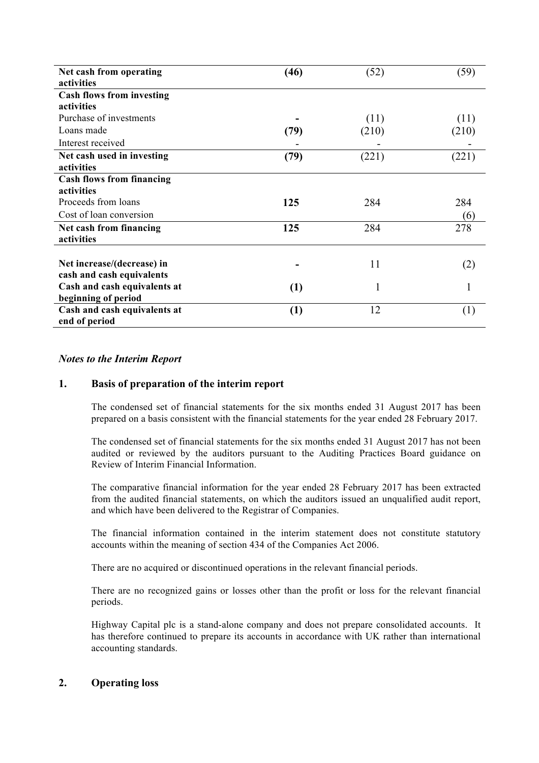| Net cash from operating<br>activities         | (46) | (52)  | (59)  |
|-----------------------------------------------|------|-------|-------|
| <b>Cash flows from investing</b>              |      |       |       |
| activities                                    |      |       |       |
| Purchase of investments                       |      | (11)  | (11)  |
| Loans made                                    | (79) | (210) | (210) |
| Interest received                             |      |       |       |
| Net cash used in investing                    | (79) | (221) | (221) |
| activities                                    |      |       |       |
| <b>Cash flows from financing</b>              |      |       |       |
| activities                                    |      |       |       |
| Proceeds from loans                           | 125  | 284   | 284   |
| Cost of loan conversion                       |      |       | (6)   |
| Net cash from financing<br>activities         | 125  | 284   | 278   |
|                                               |      |       |       |
| Net increase/(decrease) in                    |      | 11    | (2)   |
| cash and cash equivalents                     |      |       |       |
| Cash and cash equivalents at                  | (1)  | 1     |       |
| beginning of period                           |      |       |       |
| Cash and cash equivalents at<br>end of period | (1)  | 12    | (1)   |

#### *Notes to the Interim Report*

## **1. Basis of preparation of the interim report**

The condensed set of financial statements for the six months ended 31 August 2017 has been prepared on a basis consistent with the financial statements for the year ended 28 February 2017.

The condensed set of financial statements for the six months ended 31 August 2017 has not been audited or reviewed by the auditors pursuant to the Auditing Practices Board guidance on Review of Interim Financial Information.

The comparative financial information for the year ended 28 February 2017 has been extracted from the audited financial statements, on which the auditors issued an unqualified audit report, and which have been delivered to the Registrar of Companies.

The financial information contained in the interim statement does not constitute statutory accounts within the meaning of section 434 of the Companies Act 2006.

There are no acquired or discontinued operations in the relevant financial periods.

There are no recognized gains or losses other than the profit or loss for the relevant financial periods.

Highway Capital plc is a stand-alone company and does not prepare consolidated accounts. It has therefore continued to prepare its accounts in accordance with UK rather than international accounting standards.

## **2. Operating loss**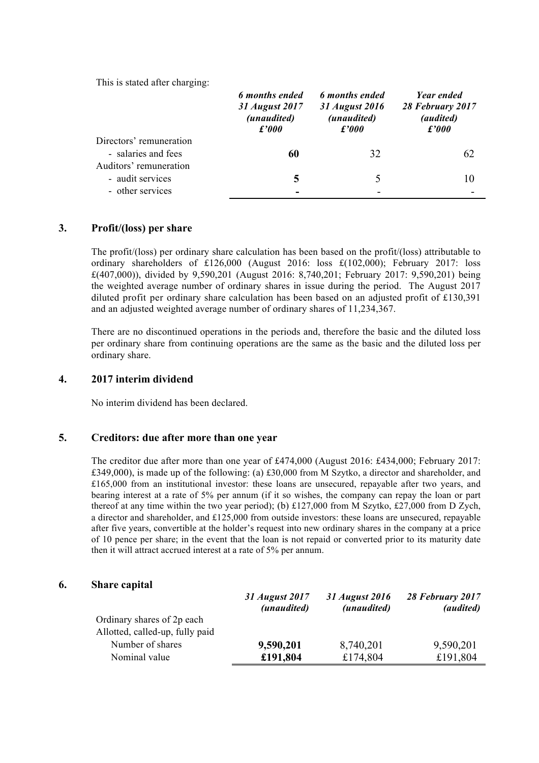This is stated after charging:

|                         | 6 months ended<br>31 August 2017<br>(unaudited)<br>f'000 | 6 months ended<br>31 August 2016<br>(unaudited)<br>$\pounds'000$ | <b>Year ended</b><br>28 February 2017<br><i>(audited)</i><br>f'000 |
|-------------------------|----------------------------------------------------------|------------------------------------------------------------------|--------------------------------------------------------------------|
| Directors' remuneration |                                                          |                                                                  |                                                                    |
| - salaries and fees     | 60                                                       | 32                                                               | 62                                                                 |
| Auditors' remuneration  |                                                          |                                                                  |                                                                    |
| - audit services        | 5                                                        |                                                                  | 10                                                                 |
| - other services        |                                                          |                                                                  |                                                                    |
|                         |                                                          |                                                                  |                                                                    |

## **3. Profit/(loss) per share**

The profit/(loss) per ordinary share calculation has been based on the profit/(loss) attributable to ordinary shareholders of £126,000 (August 2016: loss £(102,000); February 2017: loss £(407,000)), divided by 9,590,201 (August 2016: 8,740,201; February 2017: 9,590,201) being the weighted average number of ordinary shares in issue during the period. The August 2017 diluted profit per ordinary share calculation has been based on an adjusted profit of £130,391 and an adjusted weighted average number of ordinary shares of 11,234,367.

There are no discontinued operations in the periods and, therefore the basic and the diluted loss per ordinary share from continuing operations are the same as the basic and the diluted loss per ordinary share.

#### **4. 2017 interim dividend**

No interim dividend has been declared.

#### **5. Creditors: due after more than one year**

The creditor due after more than one year of £474,000 (August 2016: £434,000; February 2017: £349,000), is made up of the following: (a) £30,000 from M Szytko, a director and shareholder, and £165,000 from an institutional investor: these loans are unsecured, repayable after two years, and bearing interest at a rate of 5% per annum (if it so wishes, the company can repay the loan or part thereof at any time within the two year period); (b) £127,000 from M Szytko, £27,000 from D Zych, a director and shareholder, and £125,000 from outside investors: these loans are unsecured, repayable after five years, convertible at the holder's request into new ordinary shares in the company at a price of 10 pence per share; in the event that the loan is not repaid or converted prior to its maturity date then it will attract accrued interest at a rate of 5% per annum.

#### **6. Share capital**

|                                 | 31 August 2017<br>(unaudited) | 31 August 2016<br>(unaudited) | 28 February 2017<br><i>(audited)</i> |
|---------------------------------|-------------------------------|-------------------------------|--------------------------------------|
| Ordinary shares of 2p each      |                               |                               |                                      |
| Allotted, called-up, fully paid |                               |                               |                                      |
| Number of shares                | 9,590,201                     | 8,740,201                     | 9,590,201                            |
| Nominal value                   | £191,804                      | £174,804                      | £191,804                             |